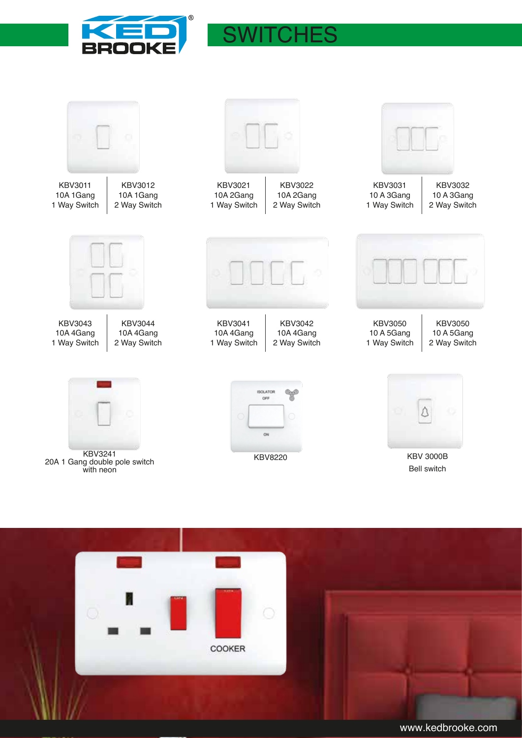

## **SWITCHES**



COOKER

www.kedbrooke.com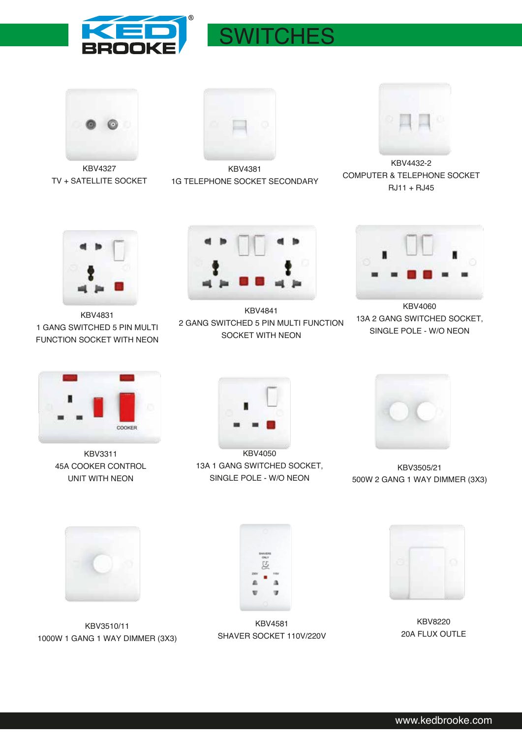

## **SWITCHES**



KBV4327 TV + SATELLITE SOCKET



KBV4381 1G TELEPHONE SOCKET SECONDARY



KBV4432-2 COMPUTER & TELEPHONE SOCKET RJ11 + RJ45



KBV4831 1 GANG SWITCHED 5 PIN MULTI FUNCTION SOCKET WITH NEON



KBV4841 2 GANG SWITCHED 5 PIN MULTI FUNCTION SOCKET WITH NEON



KBV4060 13A 2 GANG SWITCHED SOCKET, SINGLE POLE - W/O NEON



KBV3311 45A COOKER CONTROL UNIT WITH NEON



KBV4050 13A 1 GANG SWITCHED SOCKET, SINGLE POLE - W/O NEON



KBV3505/21 500W 2 GANG 1 WAY DIMMER (3X3)



KBV3510/11 1000W 1 GANG 1 WAY DIMMER (3X3)



KBV4581 SHAVER SOCKET 110V/220V



KBV8220 20A FLUX OUTLE